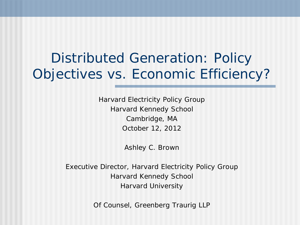# Distributed Generation: Policy Objectives vs. Economic Efficiency?

Harvard Electricity Policy Group Harvard Kennedy School Cambridge, MA October 12, 2012

Ashley C. Brown

Executive Director, Harvard Electricity Policy Group Harvard Kennedy School Harvard University

Of Counsel, Greenberg Traurig LLP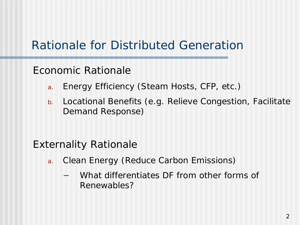### Rationale for Distributed Generation

#### Economic Rationale

- a. Energy Efficiency (Steam Hosts, CFP, etc.)
- b. Locational Benefits (e.g. Relieve Congestion, Facilitate Demand Response)

#### Externality Rationale

- a. Clean Energy (Reduce Carbon Emissions)
	- What differentiates DF from other forms of Renewables?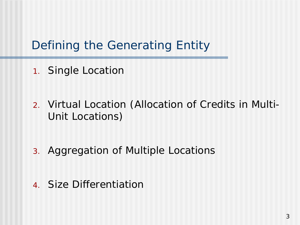### Defining the Generating Entity

- 1. Single Location
- 2. Virtual Location (Allocation of Credits in Multi-Unit Locations)
- 3. Aggregation of Multiple Locations
- 4. Size Differentiation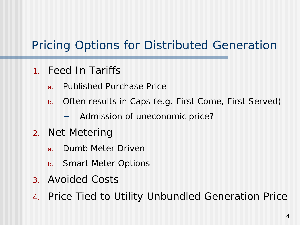## Pricing Options for Distributed Generation

- 1. Feed In Tariffs
	- a. Published Purchase Price
	- b. Often results in Caps (e.g. First Come, First Served)
		- Admission of uneconomic price?
- 2. Net Metering
	- a. Dumb Meter Driven
	- b. Smart Meter Options
- 3. Avoided Costs
- 4. Price Tied to Utility Unbundled Generation Price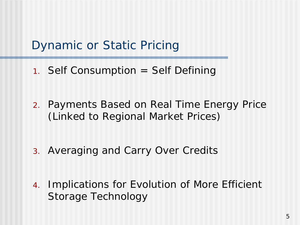#### Dynamic or Static Pricing

- 1. Self Consumption = Self Defining
- 2. Payments Based on Real Time Energy Price (Linked to Regional Market Prices)
- 3. Averaging and Carry Over Credits
- 4. Implications for Evolution of More Efficient Storage Technology